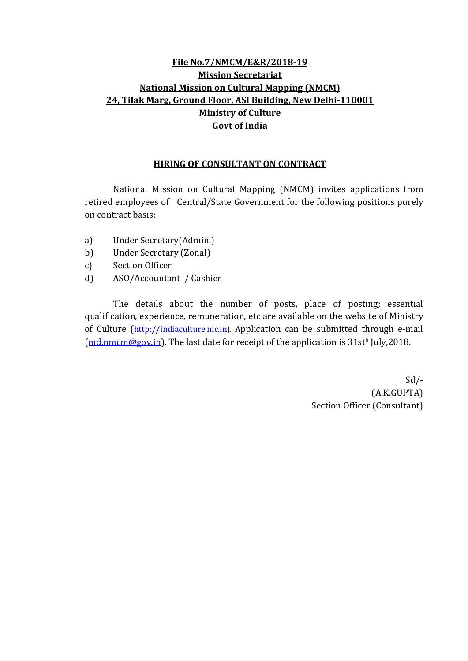## **File No.7/NMCM/E&R/2018-19 Mission Secretariat National Mission on Cultural Mapping (NMCM) 24, Tilak Marg, Ground Floor, ASI Building, New Delhi-110001 Ministry of Culture Govt of India**

#### **HIRING OF CONSULTANT ON CONTRACT**

National Mission on Cultural Mapping (NMCM) invites applications from retired employees of Central/State Government for the following positions purely on contract basis:

- a) Under Secretary(Admin.)
- b) Under Secretary (Zonal)
- c) Section Officer
- d) ASO/Accountant / Cashier

The details about the number of posts, place of posting; essential qualification, experience, remuneration, etc are available on the website of Ministry of Culture ([http://indiaculture.nic.in](http://indiaculture.nic.in/)). Application can be submitted through e-mail  $(\underline{md.nmcm@gov.in})$ . The last date for receipt of the application is 31sth July,2018.

 Sd/- (A.K.GUPTA) Section Officer (Consultant)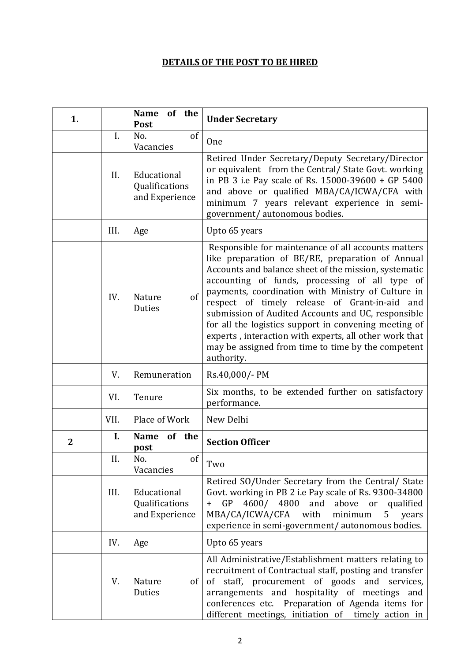## **DETAILS OF THE POST TO BE HIRED**

| 1.             |      | of the<br><b>Name</b><br>Post                   | <b>Under Secretary</b>                                                                                                                                                                                                                                                                                                                                                                                                                                                                                                                                                    |  |  |  |
|----------------|------|-------------------------------------------------|---------------------------------------------------------------------------------------------------------------------------------------------------------------------------------------------------------------------------------------------------------------------------------------------------------------------------------------------------------------------------------------------------------------------------------------------------------------------------------------------------------------------------------------------------------------------------|--|--|--|
|                | Ι.   | of<br>No.<br>Vacancies                          | One                                                                                                                                                                                                                                                                                                                                                                                                                                                                                                                                                                       |  |  |  |
|                | II.  | Educational<br>Qualifications<br>and Experience | Retired Under Secretary/Deputy Secretary/Director<br>or equivalent from the Central/ State Govt. working<br>in PB 3 i.e Pay scale of Rs. 15000-39600 + GP 5400<br>and above or qualified MBA/CA/ICWA/CFA with<br>minimum 7 years relevant experience in semi-<br>government/ autonomous bodies.                                                                                                                                                                                                                                                                           |  |  |  |
|                | III. | Age                                             | Upto 65 years                                                                                                                                                                                                                                                                                                                                                                                                                                                                                                                                                             |  |  |  |
|                | IV.  | of<br>Nature<br>Duties                          | Responsible for maintenance of all accounts matters<br>like preparation of BE/RE, preparation of Annual<br>Accounts and balance sheet of the mission, systematic<br>accounting of funds, processing of all type of<br>payments, coordination with Ministry of Culture in<br>respect of timely release of Grant-in-aid<br>and<br>submission of Audited Accounts and UC, responsible<br>for all the logistics support in convening meeting of<br>experts, interaction with experts, all other work that<br>may be assigned from time to time by the competent<br>authority. |  |  |  |
|                | V.   | Remuneration                                    | Rs.40,000/- PM                                                                                                                                                                                                                                                                                                                                                                                                                                                                                                                                                            |  |  |  |
|                | VI.  | Tenure                                          | Six months, to be extended further on satisfactory<br>performance.                                                                                                                                                                                                                                                                                                                                                                                                                                                                                                        |  |  |  |
|                | VII. | Place of Work                                   | New Delhi                                                                                                                                                                                                                                                                                                                                                                                                                                                                                                                                                                 |  |  |  |
| $\overline{2}$ | I.   | <b>Name</b><br>of the<br>post                   | <b>Section Officer</b>                                                                                                                                                                                                                                                                                                                                                                                                                                                                                                                                                    |  |  |  |
|                | II.  | of<br>No.<br>Vacancies                          | Two                                                                                                                                                                                                                                                                                                                                                                                                                                                                                                                                                                       |  |  |  |
|                | III. | Educational<br>Qualifications<br>and Experience | Retired SO/Under Secretary from the Central/ State<br>Govt. working in PB 2 i.e Pay scale of Rs. 9300-34800<br>+ GP 4600/ 4800 and above or qualified<br>MBA/CA/ICWA/CFA with<br>minimum<br>years<br>5<br>experience in semi-government/ autonomous bodies.                                                                                                                                                                                                                                                                                                               |  |  |  |
|                | IV.  | Age                                             | Upto 65 years                                                                                                                                                                                                                                                                                                                                                                                                                                                                                                                                                             |  |  |  |
|                | V.   | Nature<br>of<br>Duties                          | All Administrative/Establishment matters relating to<br>recruitment of Contractual staff, posting and transfer<br>of staff, procurement of goods and services,<br>arrangements and hospitality of meetings and<br>conferences etc. Preparation of Agenda items for<br>different meetings, initiation of timely action in                                                                                                                                                                                                                                                  |  |  |  |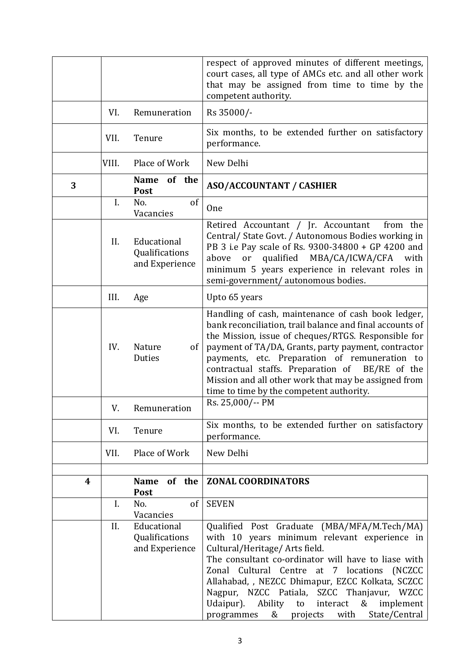|   |       |                                                 | respect of approved minutes of different meetings,<br>court cases, all type of AMCs etc. and all other work<br>that may be assigned from time to time by the<br>competent authority.                                                                                                                                                                                                                                                                                                   |  |  |
|---|-------|-------------------------------------------------|----------------------------------------------------------------------------------------------------------------------------------------------------------------------------------------------------------------------------------------------------------------------------------------------------------------------------------------------------------------------------------------------------------------------------------------------------------------------------------------|--|--|
|   | VI.   | Remuneration                                    | Rs 35000/-                                                                                                                                                                                                                                                                                                                                                                                                                                                                             |  |  |
|   | VII.  | Tenure                                          | Six months, to be extended further on satisfactory<br>performance.                                                                                                                                                                                                                                                                                                                                                                                                                     |  |  |
|   | VIII. | Place of Work                                   | New Delhi                                                                                                                                                                                                                                                                                                                                                                                                                                                                              |  |  |
| 3 |       | <b>Name</b><br>of the<br><b>Post</b>            | <b>ASO/ACCOUNTANT / CASHIER</b>                                                                                                                                                                                                                                                                                                                                                                                                                                                        |  |  |
|   | I.    | of<br>No.<br>Vacancies                          | One                                                                                                                                                                                                                                                                                                                                                                                                                                                                                    |  |  |
|   | II.   | Educational<br>Qualifications<br>and Experience | Retired Accountant / Jr. Accountant<br>from the<br>Central/ State Govt. / Autonomous Bodies working in<br>PB 3 i.e Pay scale of Rs. 9300-34800 + GP 4200 and<br>qualified MBA/CA/ICWA/CFA<br>above<br>or<br>with<br>minimum 5 years experience in relevant roles in<br>semi-government/autonomous bodies.                                                                                                                                                                              |  |  |
|   | III.  | Age                                             | Upto 65 years                                                                                                                                                                                                                                                                                                                                                                                                                                                                          |  |  |
|   | IV.   | Nature<br><sub>of</sub><br>Duties               | Handling of cash, maintenance of cash book ledger,<br>bank reconciliation, trail balance and final accounts of<br>the Mission, issue of cheques/RTGS. Responsible for<br>payment of TA/DA, Grants, party payment, contractor<br>payments, etc. Preparation of remuneration to<br>contractual staffs. Preparation of BE/RE of the<br>Mission and all other work that may be assigned from<br>time to time by the competent authority.                                                   |  |  |
|   |       | V. Remuneration                                 | Rs. 25,000/-- PM                                                                                                                                                                                                                                                                                                                                                                                                                                                                       |  |  |
|   | VI.   | Tenure                                          | Six months, to be extended further on satisfactory<br>performance.                                                                                                                                                                                                                                                                                                                                                                                                                     |  |  |
|   | VII.  | Place of Work                                   | New Delhi                                                                                                                                                                                                                                                                                                                                                                                                                                                                              |  |  |
| 4 |       | of the<br><b>Name</b><br><b>Post</b>            | <b>ZONAL COORDINATORS</b>                                                                                                                                                                                                                                                                                                                                                                                                                                                              |  |  |
|   | I.    | No.<br>of<br>Vacancies                          | <b>SEVEN</b>                                                                                                                                                                                                                                                                                                                                                                                                                                                                           |  |  |
|   | II.   | Educational<br>Qualifications<br>and Experience | Qualified Post Graduate<br>(MBA/MFA/M.Tech/MA)<br>with 10 years minimum relevant experience in<br>Cultural/Heritage/ Arts field.<br>The consultant co-ordinator will have to liase with<br>Zonal Cultural Centre<br>at<br>7 <sup>7</sup><br>locations<br>(NCZCC)<br>Allahabad, , NEZCC Dhimapur, EZCC Kolkata, SCZCC<br>Nagpur, NZCC Patiala, SZCC Thanjavur, WZCC<br>Udaipur).<br>Ability<br>&<br>to<br>interact<br>implement<br>with<br>State/Central<br>&<br>projects<br>programmes |  |  |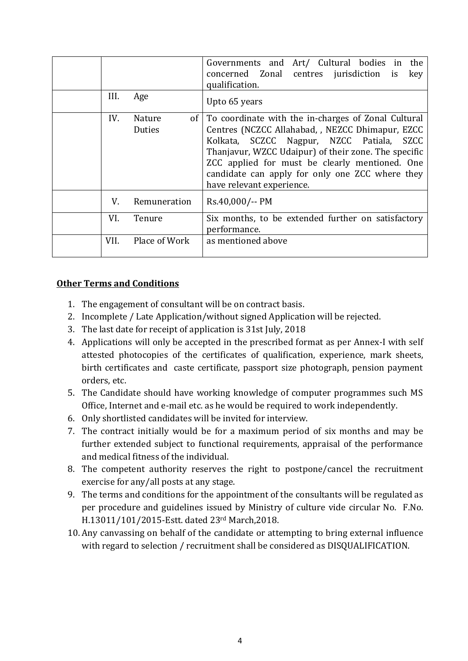| III. | Age                                        | Governments and Art/ Cultural bodies in<br>the<br>concerned Zonal centres jurisdiction<br>is<br>key<br>qualification.<br>Upto 65 years                                                                                                                                                                                                                   |  |  |  |
|------|--------------------------------------------|----------------------------------------------------------------------------------------------------------------------------------------------------------------------------------------------------------------------------------------------------------------------------------------------------------------------------------------------------------|--|--|--|
| IV.  | <b>Nature</b><br>of <sub>1</sub><br>Duties | To coordinate with the in-charges of Zonal Cultural<br>Centres (NCZCC Allahabad, , NEZCC Dhimapur, EZCC<br>Kolkata, SCZCC Nagpur, NZCC Patiala,<br><b>SZCC</b><br>Thanjavur, WZCC Udaipur) of their zone. The specific<br>ZCC applied for must be clearly mentioned. One<br>candidate can apply for only one ZCC where they<br>have relevant experience. |  |  |  |
| V.   | Remuneration                               | Rs.40,000/-- PM                                                                                                                                                                                                                                                                                                                                          |  |  |  |
| VI.  | Tenure                                     | Six months, to be extended further on satisfactory<br>performance.                                                                                                                                                                                                                                                                                       |  |  |  |
| VII. | Place of Work                              | as mentioned above                                                                                                                                                                                                                                                                                                                                       |  |  |  |

### **Other Terms and Conditions**

- 1. The engagement of consultant will be on contract basis.
- 2. Incomplete / Late Application/without signed Application will be rejected.
- 3. The last date for receipt of application is 31st July, 2018
- 4. Applications will only be accepted in the prescribed format as per Annex-I with self attested photocopies of the certificates of qualification, experience, mark sheets, birth certificates and caste certificate, passport size photograph, pension payment orders, etc.
- 5. The Candidate should have working knowledge of computer programmes such MS Office, Internet and e-mail etc. as he would be required to work independently.
- 6. Only shortlisted candidates will be invited for interview.
- 7. The contract initially would be for a maximum period of six months and may be further extended subject to functional requirements, appraisal of the performance and medical fitness of the individual.
- 8. The competent authority reserves the right to postpone/cancel the recruitment exercise for any/all posts at any stage.
- 9. The terms and conditions for the appointment of the consultants will be regulated as per procedure and guidelines issued by Ministry of culture vide circular No. F.No. H.13011/101/2015-Estt. dated 23rd March,2018.
- 10. Any canvassing on behalf of the candidate or attempting to bring external influence with regard to selection / recruitment shall be considered as DISQUALIFICATION.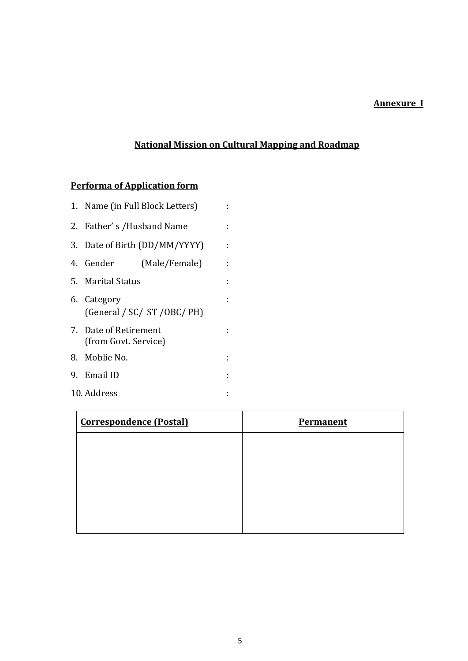## **Annexure I**

# **National Mission on Cultural Mapping and Roadmap**

# **Performa of Application form**

|                                               | 1. Name (in Full Block Letters) |   |  |  |
|-----------------------------------------------|---------------------------------|---|--|--|
| 2. Father's /Husband Name                     |                                 |   |  |  |
| 3. Date of Birth (DD/MM/YYYY)                 |                                 |   |  |  |
| 4. Gender                                     | (Male/Female)                   | ÷ |  |  |
| 5. Marital Status                             |                                 |   |  |  |
| 6. Category                                   | (General / SC/ ST / OBC/ PH)    |   |  |  |
| 7. Date of Retirement<br>(from Govt. Service) |                                 |   |  |  |
| 8. Moblie No.                                 |                                 |   |  |  |
| 9. Email ID                                   |                                 |   |  |  |
| 10. Address                                   |                                 |   |  |  |

| <b>Correspondence (Postal)</b> | <b>Permanent</b> |  |  |  |
|--------------------------------|------------------|--|--|--|
|                                |                  |  |  |  |
|                                |                  |  |  |  |
|                                |                  |  |  |  |
|                                |                  |  |  |  |
|                                |                  |  |  |  |